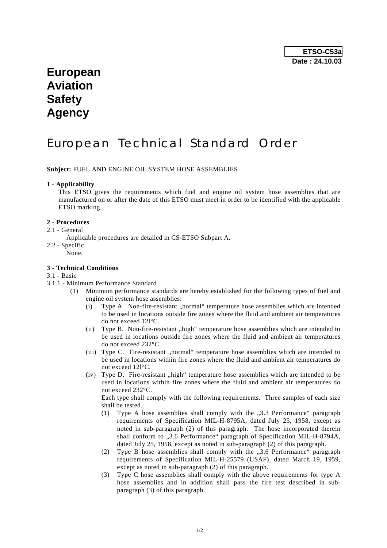## **European Aviation Safety Agency**

# European Technical Standard Order

**Subject:** FUEL AND ENGINE OIL SYSTEM HOSE ASSEMBLIES

#### **1 - Applicability**

 This ETSO gives the requirements which fuel and engine oil system hose assemblies that are manufactured on or after the date of this ETSO must meet in order to be identified with the applicable ETSO marking.

#### **2 - Procedures**

#### 2.1 - General

- Applicable procedures are detailed in CS-ETSO Subpart A.
- 2.2 Specific
	- None.

#### **3 - Technical Conditions**

- 3.1 Basic
- 3.1.1 Minimum Performance Standard
	- (1) Minimum performance standards are hereby established for the following types of fuel and engine oil system hose assemblies:
		- $(i)$  Type A. Non-fire-resistant "normal" temperature hose assemblies which are intended to be used in locations outside fire zones where the fluid and ambient air temperatures do not exceed 12l°C.
		- $(i)$  Type B. Non-fire-resistant  $n$ , high "temperature hose assemblies which are intended to be used in locations outside fire zones where the fluid and ambient air temperatures do not exceed 232°C.
		- (iii) Type C. Fire-resistant "normal" temperature hose assemblies which are intended to be used in locations within fire zones where the fluid and ambient air temperatures do not exceed 12l°C.
		- $(iv)$  Type D. Fire-resistant  $\Delta$ high" temperature hose assemblies which are intended to be used in locations within fire zones where the fluid and ambient air temperatures do not exceed 232°C.

 Each type shall comply with the following requirements. Three samples of each size shall be tested.

- (1) Type A hose assemblies shall comply with the  $,3.3$  Performance" paragraph requirements of Specification MIL-H-8795A, dated July 25, 1958, except as noted in sub-paragraph (2) of this paragraph. The hose incorporated therein shall conform to "3.6 Performance" paragraph of Specification MIL-H-8794A, dated July 25, 1958, except as noted in sub-paragraph (2) of this paragraph.
- (2) Type B hose assemblies shall comply with the "3.6 Performance" paragraph requirements of Specification MIL-H-25579 (USAF), dated March 19, 1959, except as noted in sub-paragraph (2) of this paragraph.
- (3) Type C hose assemblies shall comply with the above requirements for type A hose assemblies and in addition shall pass the fire test described in subparagraph (3) of this paragraph.